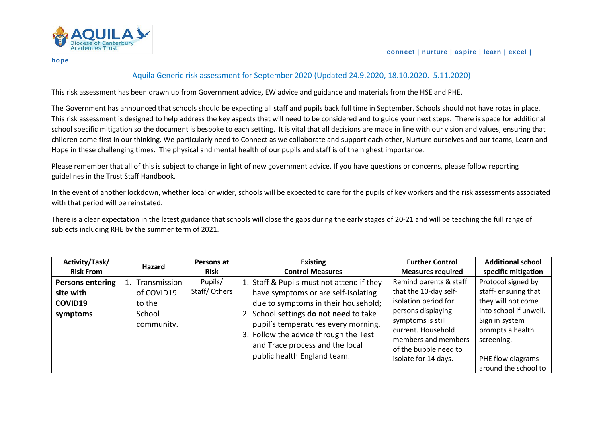

## Aquila Generic risk assessment for September 2020 (Updated 24.9.2020, 18.10.2020. 5.11.2020)

This risk assessment has been drawn up from Government advice, EW advice and guidance and materials from the HSE and PHE.

The Government has announced that schools should be expecting all staff and pupils back full time in September. Schools should not have rotas in place. This risk assessment is designed to help address the key aspects that will need to be considered and to guide your next steps. There is space for additional school specific mitigation so the document is bespoke to each setting. It is vital that all decisions are made in line with our vision and values, ensuring that children come first in our thinking. We particularly need to Connect as we collaborate and support each other, Nurture ourselves and our teams, Learn and Hope in these challenging times. The physical and mental health of our pupils and staff is of the highest importance.

Please remember that all of this is subject to change in light of new government advice. If you have questions or concerns, please follow reporting guidelines in the Trust Staff Handbook.

In the event of another lockdown, whether local or wider, schools will be expected to care for the pupils of key workers and the risk assessments associated with that period will be reinstated.

There is a clear expectation in the latest guidance that schools will close the gaps during the early stages of 20-21 and will be teaching the full range of subjects including RHE by the summer term of 2021.

| Activity/Task/          | Hazard               | Persons at   | <b>Existing</b>                                                                                                                                                                          | <b>Further Control</b>                                                                                                                | <b>Additional school</b>                                                                                                |
|-------------------------|----------------------|--------------|------------------------------------------------------------------------------------------------------------------------------------------------------------------------------------------|---------------------------------------------------------------------------------------------------------------------------------------|-------------------------------------------------------------------------------------------------------------------------|
| <b>Risk From</b>        |                      | <b>Risk</b>  | <b>Control Measures</b>                                                                                                                                                                  | <b>Measures required</b>                                                                                                              | specific mitigation                                                                                                     |
| <b>Persons entering</b> | Transmission         | Pupils/      | 1. Staff & Pupils must not attend if they                                                                                                                                                | Remind parents & staff                                                                                                                | Protocol signed by                                                                                                      |
| site with               | of COVID19           | Staff/Others | have symptoms or are self-isolating                                                                                                                                                      | that the 10-day self-                                                                                                                 | staff-ensuring that                                                                                                     |
| COVID19                 | to the               |              | due to symptoms in their household;                                                                                                                                                      | isolation period for                                                                                                                  | they will not come                                                                                                      |
| symptoms                | School<br>community. |              | 2. School settings do not need to take<br>pupil's temperatures every morning.<br>3. Follow the advice through the Test<br>and Trace process and the local<br>public health England team. | persons displaying<br>symptoms is still<br>current. Household<br>members and members<br>of the bubble need to<br>isolate for 14 days. | into school if unwell.<br>Sign in system<br>prompts a health<br>screening.<br>PHE flow diagrams<br>around the school to |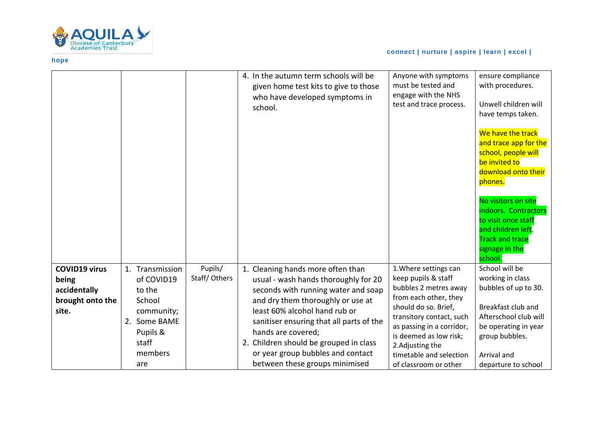

|                      |                          |              | 4. In the autumn term schools will be<br>given home test kits to give to those<br>who have developed symptoms in<br>school. | Anyone with symptoms<br>must be tested and<br>engage with the NHS<br>test and trace process. | ensure compliance<br>with procedures.<br>Unwell children will<br>have temps taken.<br>We have the track<br>and trace app for the<br>school, people will<br>be invited to<br>download onto their<br>phones.<br>No visitors on site<br>indoors. Contractors<br>to visit once staff<br>and children left.<br><b>Track and trace</b><br>signage in the<br>school. |
|----------------------|--------------------------|--------------|-----------------------------------------------------------------------------------------------------------------------------|----------------------------------------------------------------------------------------------|---------------------------------------------------------------------------------------------------------------------------------------------------------------------------------------------------------------------------------------------------------------------------------------------------------------------------------------------------------------|
| <b>COVID19 virus</b> | Transmission             | Pupils/      | 1. Cleaning hands more often than                                                                                           | 1. Where settings can                                                                        | School will be                                                                                                                                                                                                                                                                                                                                                |
| being                | of COVID19               | Staff/Others | usual - wash hands thoroughly for 20                                                                                        | keep pupils & staff                                                                          | working in class                                                                                                                                                                                                                                                                                                                                              |
| accidentally         | to the                   |              | seconds with running water and soap                                                                                         | bubbles 2 metres away                                                                        | bubbles of up to 30.                                                                                                                                                                                                                                                                                                                                          |
| brought onto the     | School                   |              | and dry them thoroughly or use at                                                                                           | from each other, they<br>should do so. Brief,                                                | Breakfast club and                                                                                                                                                                                                                                                                                                                                            |
| site.                | community;               |              | least 60% alcohol hand rub or                                                                                               | transitory contact, such                                                                     | Afterschool club will                                                                                                                                                                                                                                                                                                                                         |
|                      | 2. Some BAME<br>Pupils & |              | sanitiser ensuring that all parts of the<br>hands are covered;                                                              | as passing in a corridor,                                                                    | be operating in year                                                                                                                                                                                                                                                                                                                                          |
|                      | staff                    |              | 2. Children should be grouped in class                                                                                      | is deemed as low risk;                                                                       | group bubbles.                                                                                                                                                                                                                                                                                                                                                |
|                      | members                  |              | or year group bubbles and contact                                                                                           | 2. Adjusting the<br>timetable and selection                                                  | Arrival and                                                                                                                                                                                                                                                                                                                                                   |
|                      | are                      |              | between these groups minimised                                                                                              | of classroom or other                                                                        | departure to school                                                                                                                                                                                                                                                                                                                                           |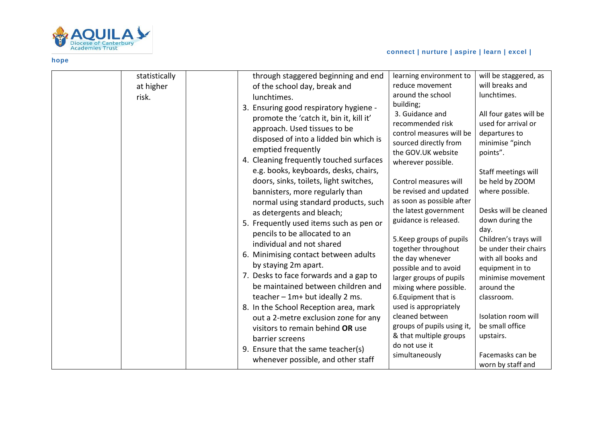

## **connect | nurture | aspire | learn | excel |**

| statistically<br>at higher<br>risk. | through staggered beginning and end<br>of the school day, break and<br>lunchtimes.<br>3. Ensuring good respiratory hygiene -<br>promote the 'catch it, bin it, kill it'<br>approach. Used tissues to be<br>disposed of into a lidded bin which is<br>emptied frequently<br>4. Cleaning frequently touched surfaces<br>e.g. books, keyboards, desks, chairs,<br>doors, sinks, toilets, light switches,<br>bannisters, more regularly than<br>normal using standard products, such<br>as detergents and bleach;<br>5. Frequently used items such as pen or<br>pencils to be allocated to an<br>individual and not shared<br>6. Minimising contact between adults<br>by staying 2m apart.<br>7. Desks to face forwards and a gap to<br>be maintained between children and<br>teacher $-1m+$ but ideally 2 ms.<br>8. In the School Reception area, mark<br>out a 2-metre exclusion zone for any<br>visitors to remain behind OR use<br>barrier screens<br>9. Ensure that the same teacher(s)<br>whenever possible, and other staff | learning environment to<br>reduce movement<br>around the school<br>building;<br>3. Guidance and<br>recommended risk<br>control measures will be<br>sourced directly from<br>the GOV.UK website<br>wherever possible.<br>Control measures will<br>be revised and updated<br>as soon as possible after<br>the latest government<br>guidance is released.<br>5. Keep groups of pupils<br>together throughout<br>the day whenever<br>possible and to avoid<br>larger groups of pupils<br>mixing where possible.<br>6. Equipment that is<br>used is appropriately<br>cleaned between<br>groups of pupils using it,<br>& that multiple groups<br>do not use it<br>simultaneously | will be staggered, as<br>will breaks and<br>lunchtimes.<br>All four gates will be<br>used for arrival or<br>departures to<br>minimise "pinch<br>points".<br>Staff meetings will<br>be held by ZOOM<br>where possible.<br>Desks will be cleaned<br>down during the<br>day.<br>Children's trays will<br>be under their chairs<br>with all books and<br>equipment in to<br>minimise movement<br>around the<br>classroom.<br>Isolation room will<br>be small office<br>upstairs.<br>Facemasks can be<br>worn by staff and |
|-------------------------------------|--------------------------------------------------------------------------------------------------------------------------------------------------------------------------------------------------------------------------------------------------------------------------------------------------------------------------------------------------------------------------------------------------------------------------------------------------------------------------------------------------------------------------------------------------------------------------------------------------------------------------------------------------------------------------------------------------------------------------------------------------------------------------------------------------------------------------------------------------------------------------------------------------------------------------------------------------------------------------------------------------------------------------------|----------------------------------------------------------------------------------------------------------------------------------------------------------------------------------------------------------------------------------------------------------------------------------------------------------------------------------------------------------------------------------------------------------------------------------------------------------------------------------------------------------------------------------------------------------------------------------------------------------------------------------------------------------------------------|-----------------------------------------------------------------------------------------------------------------------------------------------------------------------------------------------------------------------------------------------------------------------------------------------------------------------------------------------------------------------------------------------------------------------------------------------------------------------------------------------------------------------|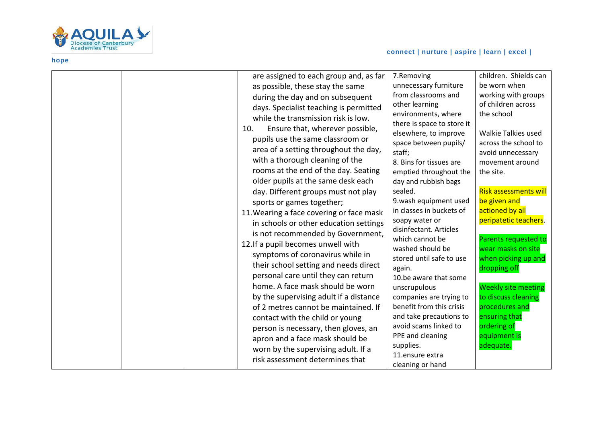

|  | are assigned to each group and, as far   | 7.Removing                 | children. Shields can        |
|--|------------------------------------------|----------------------------|------------------------------|
|  | as possible, these stay the same         | unnecessary furniture      | be worn when                 |
|  | during the day and on subsequent         | from classrooms and        | working with groups          |
|  | days. Specialist teaching is permitted   | other learning             | of children across           |
|  | while the transmission risk is low.      | environments, where        | the school                   |
|  | Ensure that, wherever possible,<br>10.   | there is space to store it |                              |
|  |                                          | elsewhere, to improve      | <b>Walkie Talkies used</b>   |
|  | pupils use the same classroom or         | space between pupils/      | across the school to         |
|  | area of a setting throughout the day,    | staff;                     | avoid unnecessary            |
|  | with a thorough cleaning of the          | 8. Bins for tissues are    | movement around              |
|  | rooms at the end of the day. Seating     | emptied throughout the     | the site.                    |
|  | older pupils at the same desk each       | day and rubbish bags       |                              |
|  | day. Different groups must not play      | sealed.                    | <b>Risk assessments will</b> |
|  | sports or games together;                | 9.wash equipment used      | be given and                 |
|  | 11. Wearing a face covering or face mask | in classes in buckets of   | actioned by all              |
|  | in schools or other education settings   | soapy water or             | peripatetic teachers.        |
|  | is not recommended by Government,        | disinfectant. Articles     |                              |
|  | 12. If a pupil becomes unwell with       | which cannot be            | Parents requested to         |
|  |                                          | washed should be           | wear masks on site           |
|  | symptoms of coronavirus while in         | stored until safe to use   | when picking up and          |
|  | their school setting and needs direct    | again.                     | dropping off                 |
|  | personal care until they can return      | 10.be aware that some      |                              |
|  | home. A face mask should be worn         | unscrupulous               | <b>Weekly site meeting</b>   |
|  | by the supervising adult if a distance   | companies are trying to    | to discuss cleaning          |
|  | of 2 metres cannot be maintained. If     | benefit from this crisis   | procedures and               |
|  | contact with the child or young          | and take precautions to    | ensuring that                |
|  | person is necessary, then gloves, an     | avoid scams linked to      | ordering of                  |
|  | apron and a face mask should be          | PPE and cleaning           | equipment is                 |
|  | worn by the supervising adult. If a      | supplies.                  | adequate.                    |
|  | risk assessment determines that          | 11.ensure extra            |                              |
|  |                                          | cleaning or hand           |                              |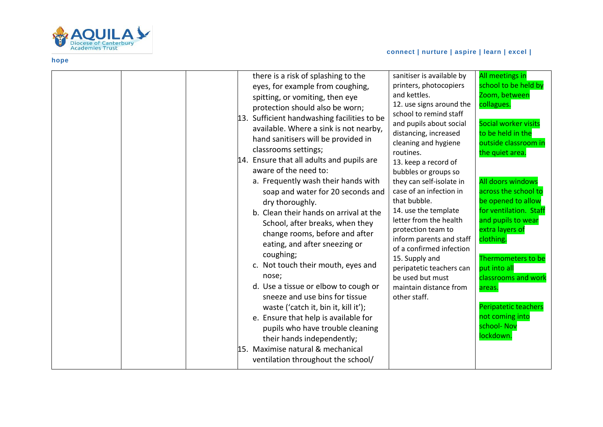

|  |  | there is a risk of splashing to the<br>eyes, for example from coughing,<br>spitting, or vomiting, then eye<br>protection should also be worn;<br>13. Sufficient handwashing facilities to be<br>available. Where a sink is not nearby,<br>hand sanitisers will be provided in<br>classrooms settings;<br>14. Ensure that all adults and pupils are<br>aware of the need to:<br>a. Frequently wash their hands with<br>soap and water for 20 seconds and<br>dry thoroughly.<br>b. Clean their hands on arrival at the<br>School, after breaks, when they<br>change rooms, before and after<br>eating, and after sneezing or<br>coughing;<br>c. Not touch their mouth, eyes and<br>nose;<br>d. Use a tissue or elbow to cough or<br>sneeze and use bins for tissue<br>waste ('catch it, bin it, kill it');<br>e. Ensure that help is available for<br>pupils who have trouble cleaning<br>their hands independently;<br>15. Maximise natural & mechanical<br>ventilation throughout the school/ | sanitiser is available by<br>printers, photocopiers<br>and kettles.<br>12. use signs around the<br>school to remind staff<br>and pupils about social<br>distancing, increased<br>cleaning and hygiene<br>routines.<br>13. keep a record of<br>bubbles or groups so<br>they can self-isolate in<br>case of an infection in<br>that bubble.<br>14. use the template<br>letter from the health<br>protection team to<br>inform parents and staff<br>of a confirmed infection<br>15. Supply and<br>peripatetic teachers can<br>be used but must<br>maintain distance from<br>other staff. | All meetings in<br>school to be held by<br>Zoom, between<br>collagues.<br>Social worker visits<br>to be held in the<br>outside classroom in<br>the quiet area.<br>All doors windows<br>across the school to<br>be opened to allow<br>for ventilation. Staff<br>and pupils to wear<br>extra layers of<br>clothing.<br>Thermometers to be<br>put into all<br>classrooms and work<br>areas.<br>Peripatetic teachers<br>not coming into<br>school- Nov<br>lockdown. |
|--|--|-----------------------------------------------------------------------------------------------------------------------------------------------------------------------------------------------------------------------------------------------------------------------------------------------------------------------------------------------------------------------------------------------------------------------------------------------------------------------------------------------------------------------------------------------------------------------------------------------------------------------------------------------------------------------------------------------------------------------------------------------------------------------------------------------------------------------------------------------------------------------------------------------------------------------------------------------------------------------------------------------|---------------------------------------------------------------------------------------------------------------------------------------------------------------------------------------------------------------------------------------------------------------------------------------------------------------------------------------------------------------------------------------------------------------------------------------------------------------------------------------------------------------------------------------------------------------------------------------|-----------------------------------------------------------------------------------------------------------------------------------------------------------------------------------------------------------------------------------------------------------------------------------------------------------------------------------------------------------------------------------------------------------------------------------------------------------------|
|--|--|-----------------------------------------------------------------------------------------------------------------------------------------------------------------------------------------------------------------------------------------------------------------------------------------------------------------------------------------------------------------------------------------------------------------------------------------------------------------------------------------------------------------------------------------------------------------------------------------------------------------------------------------------------------------------------------------------------------------------------------------------------------------------------------------------------------------------------------------------------------------------------------------------------------------------------------------------------------------------------------------------|---------------------------------------------------------------------------------------------------------------------------------------------------------------------------------------------------------------------------------------------------------------------------------------------------------------------------------------------------------------------------------------------------------------------------------------------------------------------------------------------------------------------------------------------------------------------------------------|-----------------------------------------------------------------------------------------------------------------------------------------------------------------------------------------------------------------------------------------------------------------------------------------------------------------------------------------------------------------------------------------------------------------------------------------------------------------|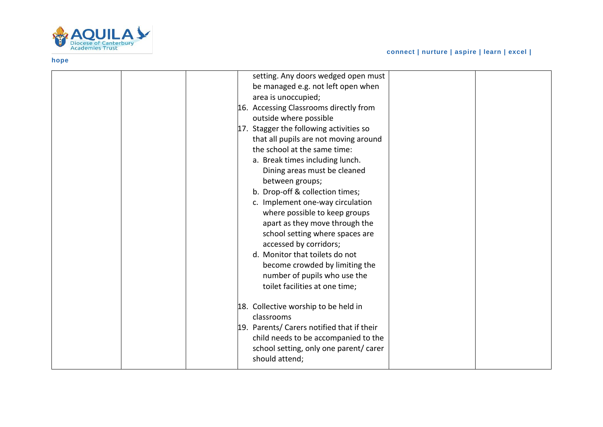

| setting. Any doors wedged open must        |  |
|--------------------------------------------|--|
| be managed e.g. not left open when         |  |
| area is unoccupied;                        |  |
| 16. Accessing Classrooms directly from     |  |
| outside where possible                     |  |
| 17. Stagger the following activities so    |  |
| that all pupils are not moving around      |  |
| the school at the same time:               |  |
| a. Break times including lunch.            |  |
| Dining areas must be cleaned               |  |
| between groups;                            |  |
| b. Drop-off & collection times;            |  |
| c. Implement one-way circulation           |  |
| where possible to keep groups              |  |
| apart as they move through the             |  |
| school setting where spaces are            |  |
| accessed by corridors;                     |  |
| d. Monitor that toilets do not             |  |
| become crowded by limiting the             |  |
| number of pupils who use the               |  |
| toilet facilities at one time;             |  |
|                                            |  |
| 18. Collective worship to be held in       |  |
| classrooms                                 |  |
| 19. Parents/ Carers notified that if their |  |
| child needs to be accompanied to the       |  |
| school setting, only one parent/ carer     |  |
| should attend;                             |  |
|                                            |  |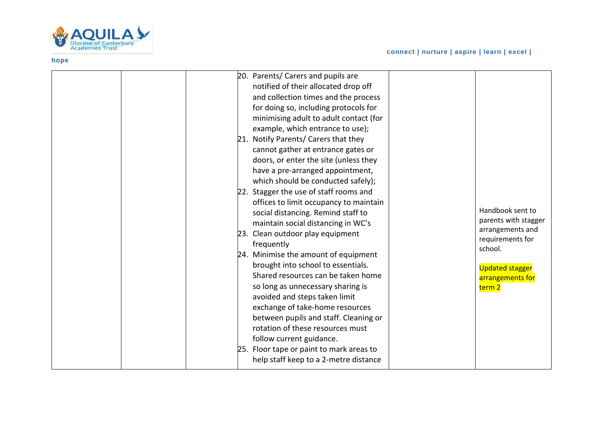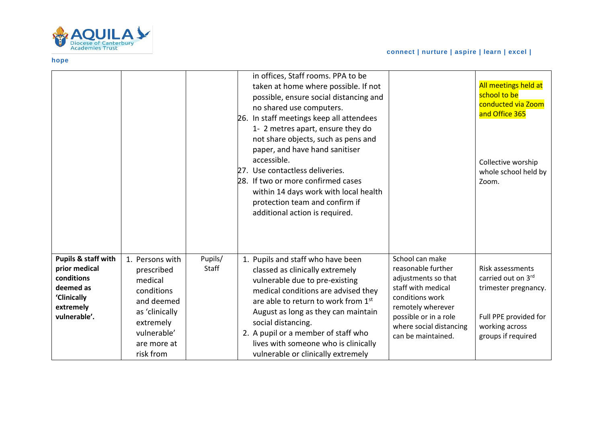

|                                                                                                                        |                                                                                                                                                |                  | in offices, Staff rooms. PPA to be<br>taken at home where possible. If not<br>possible, ensure social distancing and<br>no shared use computers.<br>26. In staff meetings keep all attendees<br>1- 2 metres apart, ensure they do<br>not share objects, such as pens and<br>paper, and have hand sanitiser<br>accessible.<br>27. Use contactless deliveries.<br>28. If two or more confirmed cases<br>within 14 days work with local health<br>protection team and confirm if<br>additional action is required. |                                                                                                                                                                                                      | All meetings held at<br>school to be<br>conducted via Zoom<br>and Office 365<br>Collective worship<br>whole school held by<br>Zoom.    |
|------------------------------------------------------------------------------------------------------------------------|------------------------------------------------------------------------------------------------------------------------------------------------|------------------|-----------------------------------------------------------------------------------------------------------------------------------------------------------------------------------------------------------------------------------------------------------------------------------------------------------------------------------------------------------------------------------------------------------------------------------------------------------------------------------------------------------------|------------------------------------------------------------------------------------------------------------------------------------------------------------------------------------------------------|----------------------------------------------------------------------------------------------------------------------------------------|
| <b>Pupils &amp; staff with</b><br>prior medical<br>conditions<br>deemed as<br>'Clinically<br>extremely<br>vulnerable'. | 1. Persons with<br>prescribed<br>medical<br>conditions<br>and deemed<br>as 'clinically<br>extremely<br>vulnerable'<br>are more at<br>risk from | Pupils/<br>Staff | 1. Pupils and staff who have been<br>classed as clinically extremely<br>vulnerable due to pre-existing<br>medical conditions are advised they<br>are able to return to work from 1st<br>August as long as they can maintain<br>social distancing.<br>2. A pupil or a member of staff who<br>lives with someone who is clinically<br>vulnerable or clinically extremely                                                                                                                                          | School can make<br>reasonable further<br>adjustments so that<br>staff with medical<br>conditions work<br>remotely wherever<br>possible or in a role<br>where social distancing<br>can be maintained. | <b>Risk assessments</b><br>carried out on 3rd<br>trimester pregnancy.<br>Full PPE provided for<br>working across<br>groups if required |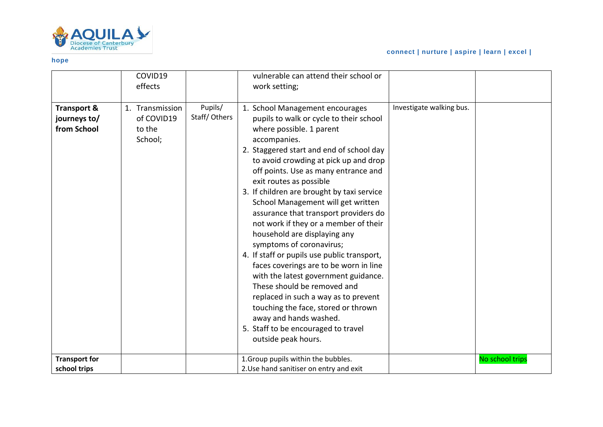

# **connect | nurture | aspire | learn | excel |**

|                                                       | COVID19<br>effects                                 |                         | vulnerable can attend their school or<br>work setting;                                                                                                                                                                                                                                                                                                                                                                                                                                                                                                                                                                                                                                                                                                                                                                                                  |                          |                 |
|-------------------------------------------------------|----------------------------------------------------|-------------------------|---------------------------------------------------------------------------------------------------------------------------------------------------------------------------------------------------------------------------------------------------------------------------------------------------------------------------------------------------------------------------------------------------------------------------------------------------------------------------------------------------------------------------------------------------------------------------------------------------------------------------------------------------------------------------------------------------------------------------------------------------------------------------------------------------------------------------------------------------------|--------------------------|-----------------|
| <b>Transport &amp;</b><br>journeys to/<br>from School | 1. Transmission<br>of COVID19<br>to the<br>School; | Pupils/<br>Staff/Others | 1. School Management encourages<br>pupils to walk or cycle to their school<br>where possible. 1 parent<br>accompanies.<br>2. Staggered start and end of school day<br>to avoid crowding at pick up and drop<br>off points. Use as many entrance and<br>exit routes as possible<br>3. If children are brought by taxi service<br>School Management will get written<br>assurance that transport providers do<br>not work if they or a member of their<br>household are displaying any<br>symptoms of coronavirus;<br>4. If staff or pupils use public transport,<br>faces coverings are to be worn in line<br>with the latest government guidance.<br>These should be removed and<br>replaced in such a way as to prevent<br>touching the face, stored or thrown<br>away and hands washed.<br>5. Staff to be encouraged to travel<br>outside peak hours. | Investigate walking bus. |                 |
| <b>Transport for</b><br>school trips                  |                                                    |                         | 1. Group pupils within the bubbles.<br>2. Use hand sanitiser on entry and exit                                                                                                                                                                                                                                                                                                                                                                                                                                                                                                                                                                                                                                                                                                                                                                          |                          | No school trips |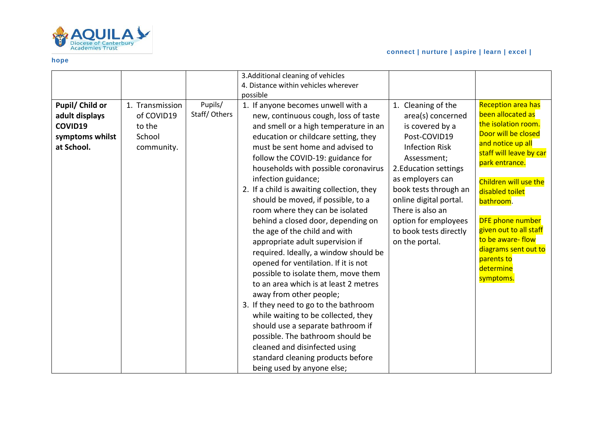

### **connect | nurture | aspire | learn | excel |**

| Pupil/ Child or                                            | 1. Transmission                              | Pupils/      | 3. Additional cleaning of vehicles<br>4. Distance within vehicles wherever<br>possible<br>1. If anyone becomes unwell with a                                                                                                                                                                                                                                                                                                                                                                                                                                                                                                                                                                                                                                                                                                                                                                                               | 1. Cleaning of the                                                                                                                                                                                                                                                                   | <b>Reception area has</b>                                                                                                                                                                                                                                                                                                           |
|------------------------------------------------------------|----------------------------------------------|--------------|----------------------------------------------------------------------------------------------------------------------------------------------------------------------------------------------------------------------------------------------------------------------------------------------------------------------------------------------------------------------------------------------------------------------------------------------------------------------------------------------------------------------------------------------------------------------------------------------------------------------------------------------------------------------------------------------------------------------------------------------------------------------------------------------------------------------------------------------------------------------------------------------------------------------------|--------------------------------------------------------------------------------------------------------------------------------------------------------------------------------------------------------------------------------------------------------------------------------------|-------------------------------------------------------------------------------------------------------------------------------------------------------------------------------------------------------------------------------------------------------------------------------------------------------------------------------------|
| adult displays<br>COVID19<br>symptoms whilst<br>at School. | of COVID19<br>to the<br>School<br>community. | Staff/Others | new, continuous cough, loss of taste<br>and smell or a high temperature in an<br>education or childcare setting, they<br>must be sent home and advised to<br>follow the COVID-19: guidance for<br>households with possible coronavirus<br>infection guidance;<br>2. If a child is awaiting collection, they<br>should be moved, if possible, to a<br>room where they can be isolated<br>behind a closed door, depending on<br>the age of the child and with<br>appropriate adult supervision if<br>required. Ideally, a window should be<br>opened for ventilation. If it is not<br>possible to isolate them, move them<br>to an area which is at least 2 metres<br>away from other people;<br>3. If they need to go to the bathroom<br>while waiting to be collected, they<br>should use a separate bathroom if<br>possible. The bathroom should be<br>cleaned and disinfected using<br>standard cleaning products before | area(s) concerned<br>is covered by a<br>Post-COVID19<br><b>Infection Risk</b><br>Assessment;<br>2. Education settings<br>as employers can<br>book tests through an<br>online digital portal.<br>There is also an<br>option for employees<br>to book tests directly<br>on the portal. | been allocated as<br>the isolation room.<br>Door will be closed<br>and notice up all<br>staff will leave by car<br>park entrance.<br>Children will use the<br>disabled toilet<br>bathroom.<br><b>DFE phone number</b><br>given out to all staff<br>to be aware-flow<br>diagrams sent out to<br>parents to<br>determine<br>symptoms. |
|                                                            |                                              |              | being used by anyone else;                                                                                                                                                                                                                                                                                                                                                                                                                                                                                                                                                                                                                                                                                                                                                                                                                                                                                                 |                                                                                                                                                                                                                                                                                      |                                                                                                                                                                                                                                                                                                                                     |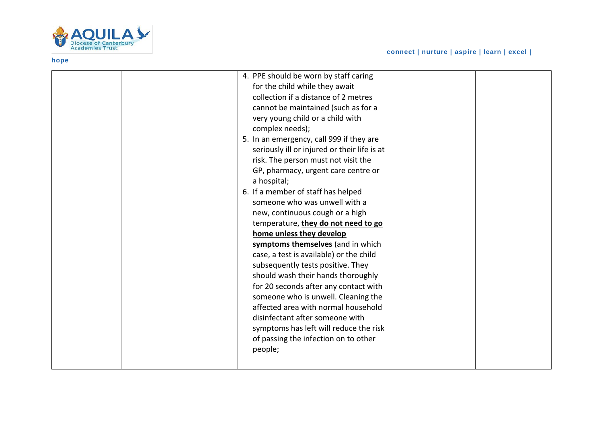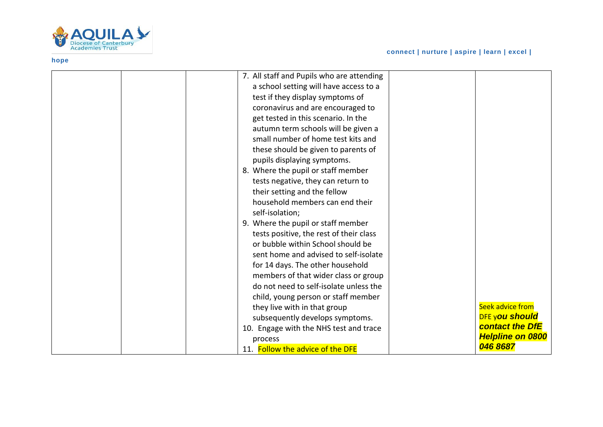

|  | 7. All staff and Pupils who are attending |                         |
|--|-------------------------------------------|-------------------------|
|  | a school setting will have access to a    |                         |
|  | test if they display symptoms of          |                         |
|  | coronavirus and are encouraged to         |                         |
|  | get tested in this scenario. In the       |                         |
|  | autumn term schools will be given a       |                         |
|  | small number of home test kits and        |                         |
|  | these should be given to parents of       |                         |
|  | pupils displaying symptoms.               |                         |
|  | 8. Where the pupil or staff member        |                         |
|  | tests negative, they can return to        |                         |
|  | their setting and the fellow              |                         |
|  | household members can end their           |                         |
|  | self-isolation;                           |                         |
|  | 9. Where the pupil or staff member        |                         |
|  | tests positive, the rest of their class   |                         |
|  | or bubble within School should be         |                         |
|  | sent home and advised to self-isolate     |                         |
|  | for 14 days. The other household          |                         |
|  | members of that wider class or group      |                         |
|  | do not need to self-isolate unless the    |                         |
|  | child, young person or staff member       |                         |
|  | they live with in that group              | Seek advice from        |
|  | subsequently develops symptoms.           | <b>DFE you should</b>   |
|  | 10. Engage with the NHS test and trace    | <b>contact the DfE</b>  |
|  | process                                   | <b>Helpline on 0800</b> |
|  | 11. Follow the advice of the DFE          | 046 8687                |
|  |                                           |                         |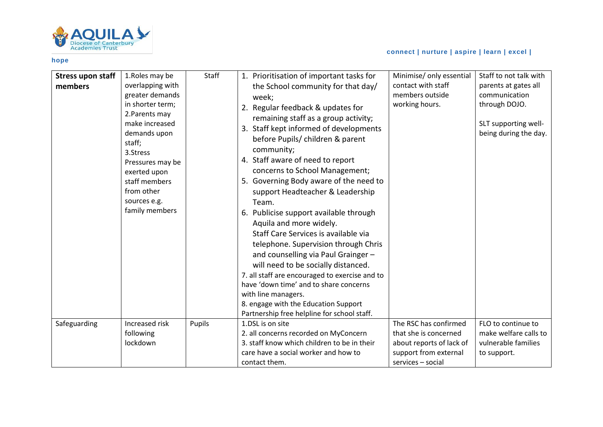

# **connect | nurture | aspire | learn | excel |**

| <b>Stress upon staff</b><br>members | 1.Roles may be<br>overlapping with<br>greater demands<br>in shorter term;<br>2. Parents may<br>make increased<br>demands upon<br>staff;<br>3.Stress<br>Pressures may be<br>exerted upon<br>staff members<br>from other<br>sources e.g.<br>family members | Staff  | 1. Prioritisation of important tasks for<br>the School community for that day/<br>week;<br>2. Regular feedback & updates for<br>remaining staff as a group activity;<br>3. Staff kept informed of developments<br>before Pupils/ children & parent<br>community;<br>4. Staff aware of need to report<br>concerns to School Management;<br>5. Governing Body aware of the need to<br>support Headteacher & Leadership<br>Team.<br>6. Publicise support available through<br>Aquila and more widely.<br>Staff Care Services is available via<br>telephone. Supervision through Chris<br>and counselling via Paul Grainger -<br>will need to be socially distanced.<br>7. all staff are encouraged to exercise and to<br>have 'down time' and to share concerns<br>with line managers.<br>8. engage with the Education Support | Minimise/ only essential<br>contact with staff<br>members outside<br>working hours.                                      | Staff to not talk with<br>parents at gates all<br>communication<br>through DOJO.<br>SLT supporting well-<br>being during the day. |
|-------------------------------------|----------------------------------------------------------------------------------------------------------------------------------------------------------------------------------------------------------------------------------------------------------|--------|-----------------------------------------------------------------------------------------------------------------------------------------------------------------------------------------------------------------------------------------------------------------------------------------------------------------------------------------------------------------------------------------------------------------------------------------------------------------------------------------------------------------------------------------------------------------------------------------------------------------------------------------------------------------------------------------------------------------------------------------------------------------------------------------------------------------------------|--------------------------------------------------------------------------------------------------------------------------|-----------------------------------------------------------------------------------------------------------------------------------|
| Safeguarding                        | Increased risk<br>following<br>lockdown                                                                                                                                                                                                                  | Pupils | Partnership free helpline for school staff.<br>1.DSL is on site<br>2. all concerns recorded on MyConcern<br>3. staff know which children to be in their<br>care have a social worker and how to<br>contact them.                                                                                                                                                                                                                                                                                                                                                                                                                                                                                                                                                                                                            | The RSC has confirmed<br>that she is concerned<br>about reports of lack of<br>support from external<br>services - social | FLO to continue to<br>make welfare calls to<br>vulnerable families<br>to support.                                                 |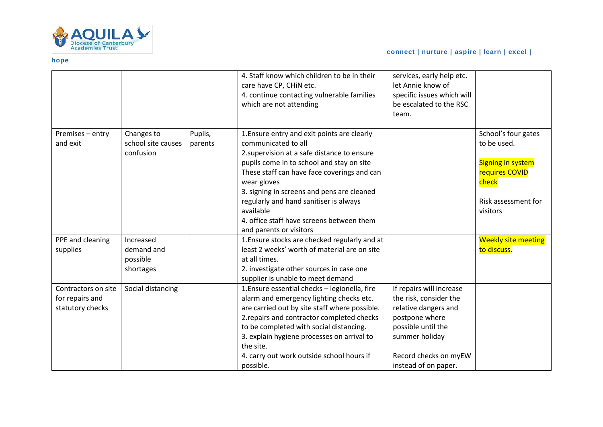

|                                                            |                                                  |                    | 4. Staff know which children to be in their<br>care have CP, CHiN etc.<br>4. continue contacting vulnerable families<br>which are not attending                                                                                                                                                                                                                                                           | services, early help etc.<br>let Annie know of<br>specific issues which will<br>be escalated to the RSC<br>team.                                                                      |                                                                                                                              |
|------------------------------------------------------------|--------------------------------------------------|--------------------|-----------------------------------------------------------------------------------------------------------------------------------------------------------------------------------------------------------------------------------------------------------------------------------------------------------------------------------------------------------------------------------------------------------|---------------------------------------------------------------------------------------------------------------------------------------------------------------------------------------|------------------------------------------------------------------------------------------------------------------------------|
| Premises - entry<br>and exit                               | Changes to<br>school site causes<br>confusion    | Pupils,<br>parents | 1. Ensure entry and exit points are clearly<br>communicated to all<br>2. supervision at a safe distance to ensure<br>pupils come in to school and stay on site<br>These staff can have face coverings and can<br>wear gloves<br>3. signing in screens and pens are cleaned<br>regularly and hand sanitiser is always<br>available<br>4. office staff have screens between them<br>and parents or visitors |                                                                                                                                                                                       | School's four gates<br>to be used.<br><b>Signing in system</b><br>requires COVID<br>check<br>Risk assessment for<br>visitors |
| PPE and cleaning<br>supplies                               | Increased<br>demand and<br>possible<br>shortages |                    | 1. Ensure stocks are checked regularly and at<br>least 2 weeks' worth of material are on site<br>at all times.<br>2. investigate other sources in case one<br>supplier is unable to meet demand                                                                                                                                                                                                           |                                                                                                                                                                                       | <b>Weekly site meeting</b><br>to discuss.                                                                                    |
| Contractors on site<br>for repairs and<br>statutory checks | Social distancing                                |                    | 1. Ensure essential checks - legionella, fire<br>alarm and emergency lighting checks etc.<br>are carried out by site staff where possible.<br>2. repairs and contractor completed checks<br>to be completed with social distancing.<br>3. explain hygiene processes on arrival to<br>the site.<br>4. carry out work outside school hours if<br>possible.                                                  | If repairs will increase<br>the risk, consider the<br>relative dangers and<br>postpone where<br>possible until the<br>summer holiday<br>Record checks on myEW<br>instead of on paper. |                                                                                                                              |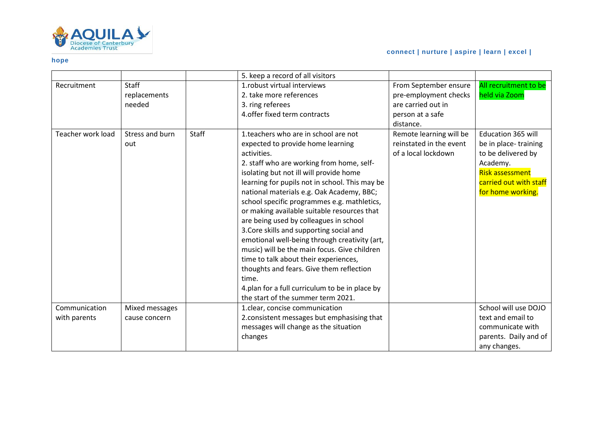

|                   |                 |       | 5. keep a record of all visitors               |                         |                           |
|-------------------|-----------------|-------|------------------------------------------------|-------------------------|---------------------------|
| Recruitment       | Staff           |       | 1.robust virtual interviews                    | From September ensure   | All recruitment to be     |
|                   | replacements    |       | 2. take more references                        | pre-employment checks   | held via Zoom             |
|                   | needed          |       | 3. ring referees                               | are carried out in      |                           |
|                   |                 |       | 4. offer fixed term contracts                  | person at a safe        |                           |
|                   |                 |       |                                                | distance.               |                           |
| Teacher work load | Stress and burn | Staff | 1. teachers who are in school are not          | Remote learning will be | <b>Education 365 will</b> |
|                   | out             |       | expected to provide home learning              | reinstated in the event | be in place-training      |
|                   |                 |       | activities.                                    | of a local lockdown     | to be delivered by        |
|                   |                 |       | 2. staff who are working from home, self-      |                         | Academy.                  |
|                   |                 |       | isolating but not ill will provide home        |                         | <b>Risk assessment</b>    |
|                   |                 |       | learning for pupils not in school. This may be |                         | carried out with staff    |
|                   |                 |       | national materials e.g. Oak Academy, BBC;      |                         | for home working.         |
|                   |                 |       | school specific programmes e.g. mathletics,    |                         |                           |
|                   |                 |       | or making available suitable resources that    |                         |                           |
|                   |                 |       | are being used by colleagues in school         |                         |                           |
|                   |                 |       | 3. Core skills and supporting social and       |                         |                           |
|                   |                 |       | emotional well-being through creativity (art,  |                         |                           |
|                   |                 |       | music) will be the main focus. Give children   |                         |                           |
|                   |                 |       | time to talk about their experiences,          |                         |                           |
|                   |                 |       | thoughts and fears. Give them reflection       |                         |                           |
|                   |                 |       | time.                                          |                         |                           |
|                   |                 |       | 4.plan for a full curriculum to be in place by |                         |                           |
|                   |                 |       | the start of the summer term 2021.             |                         |                           |
| Communication     | Mixed messages  |       | 1.clear, concise communication                 |                         | School will use DOJO      |
| with parents      | cause concern   |       | 2. consistent messages but emphasising that    |                         | text and email to         |
|                   |                 |       | messages will change as the situation          |                         | communicate with          |
|                   |                 |       | changes                                        |                         | parents. Daily and of     |
|                   |                 |       |                                                |                         | any changes.              |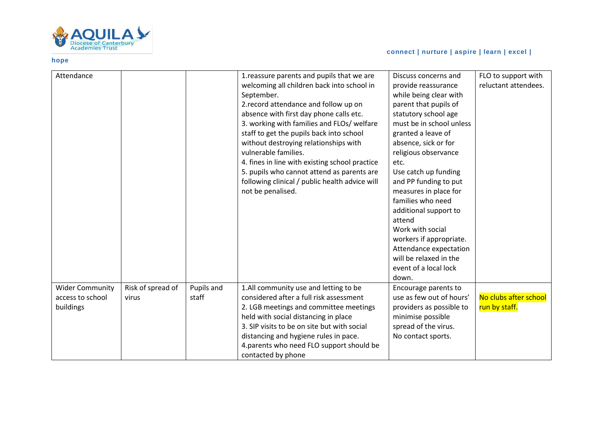

| Attendance                                              |                            |                     | 1. reassure parents and pupils that we are<br>welcoming all children back into school in<br>September.<br>2. record attendance and follow up on<br>absence with first day phone calls etc.<br>3. working with families and FLOs/ welfare<br>staff to get the pupils back into school<br>without destroying relationships with<br>vulnerable families.<br>4. fines in line with existing school practice<br>5. pupils who cannot attend as parents are<br>following clinical / public health advice will<br>not be penalised. | Discuss concerns and<br>provide reassurance<br>while being clear with<br>parent that pupils of<br>statutory school age<br>must be in school unless<br>granted a leave of<br>absence, sick or for<br>religious observance<br>etc.<br>Use catch up funding<br>and PP funding to put<br>measures in place for<br>families who need<br>additional support to<br>attend<br>Work with social<br>workers if appropriate.<br>Attendance expectation<br>will be relaxed in the<br>event of a local lock<br>down. | FLO to support with<br>reluctant attendees. |
|---------------------------------------------------------|----------------------------|---------------------|------------------------------------------------------------------------------------------------------------------------------------------------------------------------------------------------------------------------------------------------------------------------------------------------------------------------------------------------------------------------------------------------------------------------------------------------------------------------------------------------------------------------------|---------------------------------------------------------------------------------------------------------------------------------------------------------------------------------------------------------------------------------------------------------------------------------------------------------------------------------------------------------------------------------------------------------------------------------------------------------------------------------------------------------|---------------------------------------------|
| <b>Wider Community</b><br>access to school<br>buildings | Risk of spread of<br>virus | Pupils and<br>staff | 1.All community use and letting to be<br>considered after a full risk assessment<br>2. LGB meetings and committee meetings<br>held with social distancing in place<br>3. SIP visits to be on site but with social<br>distancing and hygiene rules in pace.<br>4.parents who need FLO support should be<br>contacted by phone                                                                                                                                                                                                 | Encourage parents to<br>use as few out of hours'<br>providers as possible to<br>minimise possible<br>spread of the virus.<br>No contact sports.                                                                                                                                                                                                                                                                                                                                                         | No clubs after school<br>run by staff.      |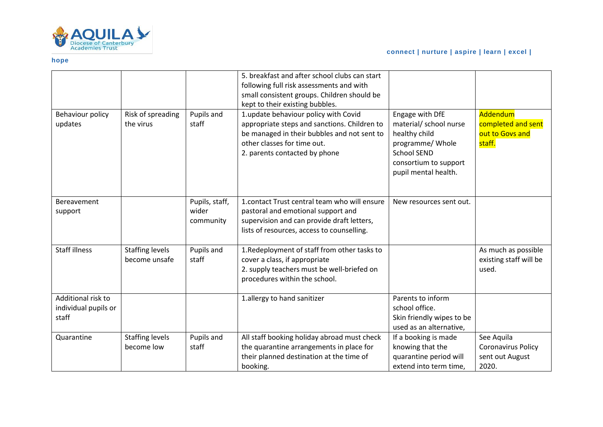

| Behaviour policy<br>updates                         | Risk of spreading<br>the virus          | Pupils and<br>staff                  | 5. breakfast and after school clubs can start<br>following full risk assessments and with<br>small consistent groups. Children should be<br>kept to their existing bubbles.<br>1.update behaviour policy with Covid<br>appropriate steps and sanctions. Children to<br>be managed in their bubbles and not sent to<br>other classes for time out.<br>2. parents contacted by phone | Engage with DfE<br>material/ school nurse<br>healthy child<br>programme/ Whole<br><b>School SEND</b><br>consortium to support<br>pupil mental health. | Addendum<br>completed and sent<br>out to Govs and<br>staff.  |
|-----------------------------------------------------|-----------------------------------------|--------------------------------------|------------------------------------------------------------------------------------------------------------------------------------------------------------------------------------------------------------------------------------------------------------------------------------------------------------------------------------------------------------------------------------|-------------------------------------------------------------------------------------------------------------------------------------------------------|--------------------------------------------------------------|
| Bereavement<br>support                              |                                         | Pupils, staff,<br>wider<br>community | 1. contact Trust central team who will ensure<br>pastoral and emotional support and<br>supervision and can provide draft letters,<br>lists of resources, access to counselling.                                                                                                                                                                                                    | New resources sent out.                                                                                                                               |                                                              |
| <b>Staff illness</b>                                | <b>Staffing levels</b><br>become unsafe | Pupils and<br>staff                  | 1. Redeployment of staff from other tasks to<br>cover a class, if appropriate<br>2. supply teachers must be well-briefed on<br>procedures within the school.                                                                                                                                                                                                                       |                                                                                                                                                       | As much as possible<br>existing staff will be<br>used.       |
| Additional risk to<br>individual pupils or<br>staff |                                         |                                      | 1.allergy to hand sanitizer                                                                                                                                                                                                                                                                                                                                                        | Parents to inform<br>school office.<br>Skin friendly wipes to be<br>used as an alternative,                                                           |                                                              |
| Quarantine                                          | <b>Staffing levels</b><br>become low    | Pupils and<br>staff                  | All staff booking holiday abroad must check<br>the quarantine arrangements in place for<br>their planned destination at the time of<br>booking.                                                                                                                                                                                                                                    | If a booking is made<br>knowing that the<br>quarantine period will<br>extend into term time,                                                          | See Aquila<br>Coronavirus Policy<br>sent out August<br>2020. |